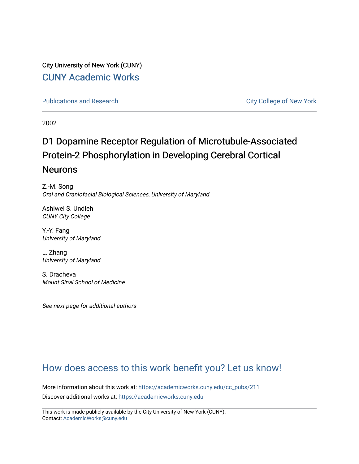City University of New York (CUNY) [CUNY Academic Works](https://academicworks.cuny.edu/) 

[Publications and Research](https://academicworks.cuny.edu/cc_pubs) **City College of New York** Publications and Research

2002

# D1 Dopamine Receptor Regulation of Microtubule-Associated Protein-2 Phosphorylation in Developing Cerebral Cortical Neurons

Z.-M. Song Oral and Craniofacial Biological Sciences, University of Maryland

Ashiwel S. Undieh CUNY City College

Y.-Y. Fang University of Maryland

L. Zhang University of Maryland

S. Dracheva Mount Sinai School of Medicine

See next page for additional authors

# [How does access to this work benefit you? Let us know!](http://ols.cuny.edu/academicworks/?ref=https://academicworks.cuny.edu/cc_pubs/211)

More information about this work at: [https://academicworks.cuny.edu/cc\\_pubs/211](https://academicworks.cuny.edu/cc_pubs/211)  Discover additional works at: [https://academicworks.cuny.edu](https://academicworks.cuny.edu/?)

This work is made publicly available by the City University of New York (CUNY). Contact: [AcademicWorks@cuny.edu](mailto:AcademicWorks@cuny.edu)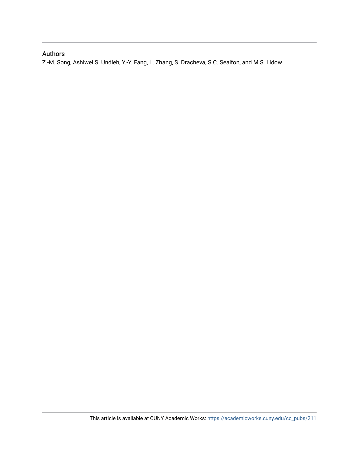### Authors

Z.-M. Song, Ashiwel S. Undieh, Y.-Y. Fang, L. Zhang, S. Dracheva, S.C. Sealfon, and M.S. Lidow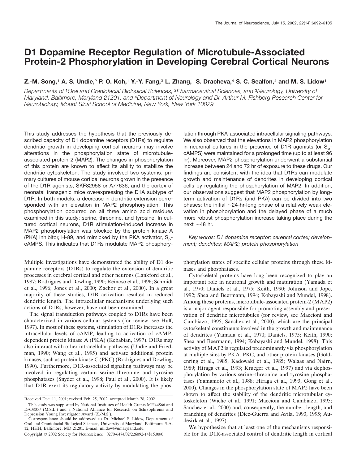## **D1 Dopamine Receptor Regulation of Microtubule-Associated Protein-2 Phosphorylation in Developing Cerebral Cortical Neurons**

#### **Z.-M. Song,**<sup>1</sup> **A. S. Undie,**<sup>2</sup> **P. O. Koh,**<sup>1</sup> **Y.-Y. Fang,**<sup>3</sup> **L. Zhang,**<sup>1</sup> **S. Dracheva,**<sup>4</sup> **S. C. Sealfon,**<sup>4</sup> **and M. S. Lidow**<sup>1</sup>

*Departments of* <sup>1</sup>*Oral and Craniofacial Biological Sciences,* <sup>2</sup>*Pharmaceutical Sciences, and* <sup>3</sup>*Neurology, University of Maryland, Baltimore, Maryland 21201, and* <sup>4</sup>*Department of Neurology and Dr. Arthur M. Fishberg Research Center for Neurobiology, Mount Sinai School of Medicine, New York, New York 10029*

This study addresses the hypothesis that the previously described capacity of D1 dopamine receptors (D1Rs) to regulate dendritic growth in developing cortical neurons may involve alterations in the phosphorylation state of microtubuleassociated protein-2 (MAP2). The changes in phosphorylation of this protein are known to affect its ability to stabilize the dendritic cytoskeleton. The study involved two systems: primary cultures of mouse cortical neurons grown in the presence of the D1R agonists, SKF82958 or A77636, and the cortex of neonatal transgenic mice overexpressing the D1A subtype of D1R. In both models, a decrease in dendritic extension corresponded with an elevation in MAP2 phosphorylation. This phosphorylation occurred on all three amino acid residues examined in this study: serine, threonine, and tyrosine. In cultured cortical neurons, D1R stimulation-induced increase in MAP2 phosphorylation was blocked by the protein kinase A (PKA) inhibitor, H-89, and mimicked by the PKA activator,  $S_p$ cAMPS. This indicates that D1Rs modulate MAP2 phosphory-

Multiple investigations have demonstrated the ability of D1 dopamine receptors (D1Rs) to regulate the extension of dendritic processes in cerebral cortical and other neurons (Lankford et al., 1987; Rodrigues and Dowling, 1990; Reinoso et al., 1996; Schmidt et al., 1996; Jones et al., 2000; Zachor et al., 2000). In a great majority of these studies, D1R activation resulted in reduced dendritic length. The intracellular mechanisms underlying such actions of D1Rs, however, have not been examined.

The signal transduction pathways coupled to D1Rs have been characterized in various cellular systems (for review, see Huff, 1997). In most of these systems, stimulation of D1Rs increases the intracellular levels of cAMP, leading to activation of cAMPdependent protein kinase A (PKA) (Kebabian, 1997). D1Rs may also interact with other intracellular pathways (Undie and Friedman, 1990; Wang et al., 1995) and activate additional protein kinases, such as protein kinase C (PKC) (Rodrigues and Dowling, 1990). Furthermore, D1R-associated signaling pathways may be involved in regulating certain serine–threonine and tyrosine phosphatases (Snyder et al., 1998; Paul et al., 2000). It is likely that D1R exert its regulatory activity by modulating the phoslation through PKA-associated intracellular signaling pathways. We also observed that the elevations in MAP2 phosphorylation in neuronal cultures in the presence of D1R agonists (or  $S_{p}$ cAMPS) were maintained for a prolonged time (up to at least 96 hr). Moreover, MAP2 phosphorylation underwent a substantial increase between 24 and 72 hr of exposure to these drugs. Our findings are consistent with the idea that D1Rs can modulate growth and maintenance of dendrites in developing cortical cells by regulating the phosphorylation of MAP2. In addition, our observations suggest that MAP2 phosphorylation by longterm activation of D1Rs (and PKA) can be divided into two phases: the initial  $\sim$ 24-hr-long phase of a relatively weak elevation in phosphorylation and the delayed phase of a much more robust phosphorylation increase taking place during the next  $\sim$  48 hr.

*Key words: D1 dopamine receptor; cerebral cortex; development; dendrites; MAP2; protein phosphorylation*

phorylation states of specific cellular proteins through these kinases and phosphatases.

Cytoskeletal proteins have long been recognized to play an important role in neuronal growth and maturation (Yamada et al., 1970; Daniels et al., 1975; Keith, 1990; Johnson and Jope, 1992; Shea and Beermann, 1994; Kobayashi and Mundel, 1998). Among these proteins, microtubule-associated protein-2 (MAP2) is a major agent responsible for promoting assembly and preservation of dendritic microtubules (for review, see Maccioni and Cambiazo, 1995; Sanchez et al., 2000), which are the principal cytoskeletal constituents involved in the growth and maintenance of dendrites (Yamada et al., 1970; Daniels, 1975; Keith, 1990; Shea and Beermann, 1994; Kobayashi and Mundel, 1998). This activity of MAP2 is regulated predominantly via phosphorylation at multiple sites by PKA, PKC, and other protein kinases (Goldenring et al., 1985; Kadowaki et al., 1985; Walaas and Nairn, 1989; Hiraga et al., 1993; Krueger et al., 1997) and via dephosphorylation by various serine–threonine and tyrosine phosphatases (Yamamoto et al., 1988; Hiraga et al., 1993; Gong et al., 2000). Changes in the phosphorylation state of MAP2 have been shown to affect the stability of the dendritic microtubular cytoskeleton (Wiche et al., 1991; Maccioni and Cambiazo, 1995; Sanchez et al., 2000) and, consequently, the number, length, and branching of dendrites (Diez-Guerra and Avila, 1993, 1995; Audesirk et al., 1997).

We hypothesize that at least one of the mechanisms responsible for the D1R-associated control of dendritic length in cortical

Received Dec. 11, 2001; revised Feb. 25, 2002; accepted March 28, 2002.

This study was supported by National Institutes of Health Grants MH44866 and DA08057 (M.S.L.) and a National Alliance for Research on Schizophrenia and Depression Young Investigator Award (Z.-M.S.).

Correspondence should be addressed to Dr. Michael S. Lidow, Department of Oral and Craniofacial Biological Sciences, University of Maryland, Baltimore, 5-A-12, HHH, Baltimore, MD 21201. E-mail: mlidow@umaryland.edu.

Copyright © 2002 Society for Neuroscience 0270-6474/02/226092-14\$15.00/0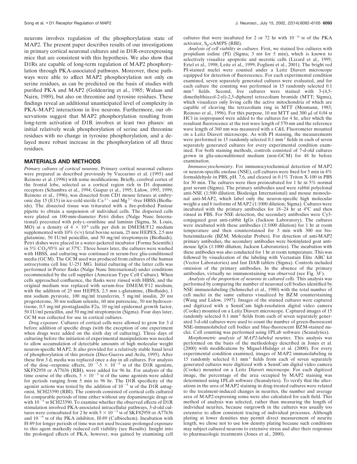neurons involves regulation of the phosphorylation state of MAP2. The present paper describes results of our investigations in primary cortical neuronal cultures and in D1R-overexpressing mice that are consistent with this hypothesis. We also show that D1Rs are capable of long-term regulation of MAP2 phosphorylation through PKA-associated pathways. Moreover, these pathways were able to affect MAP2 phosphorylation not only on serine residues, as can be predicted on the basis of studies with purified PKA and MAP2 (Goldenring et al., 1985; Walaas and Nairn, 1989), but also on threonine and tyrosine residues. These findings reveal an additional unanticipated level of complexity in PKA–MAP2 interactions in live neurons. Furthermore, our observations suggest that MAP2 phosphorylation resulting from long-term activation of D1R involves at least two phases: an initial relatively weak phosphorylation of serine and threonine residues with no change in tyrosine phosphorylation, and a delayed more robust increase in the phosphorylation of all three residues.

#### **MATERIALS AND METHODS**

*Primary cultures of cortical neurons*. Primary cortical neuronal cultures were prepared as described previously by Vaccarino et al. (1995) and Reinoso et al. (1996) with some modifications. Briefly, cerebral cortex of the frontal lobe, selected as a cortical region rich in D1 dopamine receptors (Schambra et al., 1994; Gaspar et al., 1995; Lidow, 1995, 1999; Reinoso et al., 1996), was dissected from CD1 mouse fetuses at embry-<br>onic day 15 (E15) in ice-cold sterile Ca<sup>2+</sup>- and Mg<sup>2+</sup>-free HBSS (Biofluids). The dissected tissue was triturated with a fire-polished Pasteur pipette to obtain a suspension of individual cells. The dispersed cells were plated on 100-mm-diameter Petri dishes (Nalge Nunc International) precoated with poly-L-ornithine and laminin (Sigma, St. Louis, MO) at a density of  $4 \times 10^6$  cells per dish in DMEM/F12 medium supplemented with 10% (v/v) fetal bovine serum, 25 mm HEPES, 2.5 mm glutamine, 50 IU/ml penicillin, and 50 mg/ml streptomycin (Biofluids). Petri dishes were placed in a water-jacketed incubator (Forma Scientific) in 5%  $CO<sub>2</sub>/95%$  air at 37°C. Three hours later, the cultures were washed with HBSS, and culturing was continued in serum-free glia-conditioned media (GCM). The GCM used was produced from cultures of the human astrocytoma cell line U-251 MG. Initial culturing of the latter cells was performed in Porter flasks (Nalge Nunc International) under conditions recommended by the cell supplier (American Type Cell Culture). When cells approached confluence, the flasks were rinsed with HBSS, and the original medium was replaced with serum-free DMEM/F12 medium, with the addition of 25 mm HEPES, 2.5 mm L-glutamine, (Biofluids), 1 mm sodium pyruvate, 100 mg/ml transferrin, 5 mg/ml insulin, 20 nm progesterone, 30 nM sodium selenite, 60 mM putrescine, 50 nM hydrocortisone, 0.5 mg/ml prostaglandin F2a, 10 ng/ml epidermal growth factor, 50 IU/ml penicillin, and 50 mg/ml streptomycin (Sigma). Four days later, GCM was collected for use in cortical cultures.

*Drug exposure*. Cultures of cortical cells were allowed to grow for 3 d before addition of specific drugs (with the exception of one experiment when drugs were added on the sixth day of culturing). Three days of culturing before the initiation of experimental manipulations was needed to allow accumulation of detectable amounts of high molecular weight neuron-specific MAP2. It also provided for a relatively stable basal level of phosphorylation of this protein (Diez-Guerra and Avila, 1995). After these first 3 d, media was replaced once a day in all cultures. For analysis of the dose–response effects,  $10^{-7}$ -5  $\times$   $10^{-5}$  M of the D1R agonists, SKF82958 or A77636 (RBI), were added for 96 hr. For analysis of the time course of the effects,  $5 \times 10^{-5}$  M of the same agonists were added for periods ranging from 5 min to 96 hr. The D1R specificity of the agonist actions was tested by the addition of  $10^{-5}$  M of the D1R antagonist, SCH23390 (RBI). The controls consisted of cortical cells cultured for comparable periods of time either without any dopaminergic drugs or with  $10^{-5}$  M SCH23390. To examine whether the observed effects of D1R stimulation involved PKA-associated intracellular pathways, 3-d-old cultures were coincubated for 2 hr with  $5 \times 10^{-5}$  M of SKF82958 or A77636 and  $10^{-6}$  M of the PKA inhibitor, H-89 (Calbiochem). Incubation with H-89 for longer periods of time was not used because prolonged exposure to this agent markedly reduced cell viability (see Results). Insight into the prolonged effects of PKA, however, was gained by examining cell cultures that were incubated for 2 or 72 hr with  $10^{-6}$  M of the PKA activator,  $S_p$ -cAMPS (RBI).

*Analysis of cell viability in cultures*. First, we stained live cultures with propidium iodine (PI) (Sigma; 3 nM for 5 min), which is known to selectively visualize apoptotic and necrotic cells (Lizard et al., 1995; Ertel et al., 1998; Leite et al., 1999; Foglieni et al., 2001). The bright red PI-stained nuclei were counted under a Leitz Diavert microscope equipped for detection of fluorescence. For each experimental condition examined, seven separately generated cultures were evaluated, and for each culture the counting was performed in 15 randomly selected 0.1 mm<sup>2</sup> fields. Second, live cultures were stained with 3-(4,5dimethylthiazol-2-yl)-2,5-diphenyl tetrazolium bromide (MTT; Sigma), which visualizes only living cells the active mitochondria of which are capable of cleaving the tetrazolium ring in MTT (Mosmann, 1983; Reinoso et al., 1996). For this purpose, 10 nm MTT and 300  $\mu$ l of 0.04 m HCl in isopropanol were added to the cultures for 4 hr, after which the resultant fluorescence at the test wave length of 570 nm and the reference wave length of 360 nm was measured with a C&L Fluorometer mounted on a Leitz Diavert microscope. As with PI staining, the measurements were performed in 15 randomly selected 0.1 mm<sup>2</sup> fields in each of seven separately generated cultures for every experimental condition examined. For both staining methods, controls consisted of 7-d-old cultures grown in glia-unconditioned medium (non-GCM) for 48 hr before examination.

*Immunocytochemistry*. For immunocytochemical detection of MAP2 or neuron-specific enolase (NSE), cell cultures were fixed for 5 min in 4% formaldehyde in PBS, pH. 7.6, and cleared in 0.1% Triton X-100 in PBS for 30 min. The cultures were then preincubated for 1 hr in 5% normal goat serum (Sigma). The primary antibodies used were rabbit polyclonal anti-NSE (1:500 dilution; Biodesign International) and mouse monoclonal anti-MAP2, which label only the neuron-specific high molecular weight *a* and *b* isoforms of MAP2 (1:1000 dilution; Sigma). Cultures were incubated with the primary antibodies for 18–24 hr at 4°C and then rinsed in PBS. For NSE detection, the secondary antibodies were Cy3 conjugated goat anti-rabbit IgGs (Jackson Laboratory). The cultures were incubated with these antibodies (1:1000 dilution) for 1 hr at room temperature and then counterstained for 3 min with 300 nm bisbenzimidazole (BZM; Molecular Probes). For detection of anti-MAP2 primary antibodies, the secondary antibodies were biotinylated goat antimouse IgGs (1:1000 dilution; Jackson Laboratories). The incubation with these antibodies was also conducted for 1 hr at room temperature. This was followed by visualization of the labeling with Vectastain Elite ABC kit (Vector Laboratories) and fast DAB tablets (Sigma). Controls included omission of the primary antibodies. In the absence of the primary antibodies, virtually no immunostaining was observed (see Fig. 3*F*).

*Analysis of the proportion of neurons in cultured cells*. This analysis was performed by comparing the number of neuronal cell bodies identified by NSE immunolabeling (Schmechel et al., 1980) with the total number of cell nuclei in the same cultures visualized by BZM counterstaining (Wang and Lidow, 1997). Images of the stained cultures were captured and digitized with a SensiCam high-resolution digital video camera (Cooke) mounted on a Leitz Diavert microscope. Captured images of 15 randomly selected 0.1 mm<sup>2</sup> fields from each of seven separately generated 3-d-old cultures were used to count the number of green-fluorescent NSE-immunolabeled cell bodies and blue-fluorescent BZM-stained nuclei. Cell counting was performed using IPLab software (Scanalytics).

*Morphometric analysis of MAP2-labeled neurites*. This analysis was performed on the basis of the methodology described in Jones et al. (2000) with modifications by Miguel-Hidalgo et al. (2000). For every experimental condition examined, images of MAP2 immunolabeling in 15 randomly selected 0.1 mm<sup>2</sup> fields from each of seven separately generated cultures were digitized with a SensiCam digital video camera (Cooke) mounted on a Leitz Diavert microscope. For each digitized image, the percentage of the area occupied by MAP2 staining was determined using IPLab software (Scanalytics). To verify that the alterations in the area of MAP2 staining in drug-treated cultures were related to the treatment-induced changes in neurites, the number and average area of MAP2-expressing soma were also calculated for each field. This method of analysis was selected, rather than measuring the length of individual neurites, because outgrowth in the cultures was usually too extensive to allow consistent tracing of individual processes. Although plating at lower densities may permit direct measurement of neurite length, we chose not to use low density plating because such conditions may subject cultured neurons to extensive stress and alter their responses to pharmacologic treatments (Jones et al., 2000).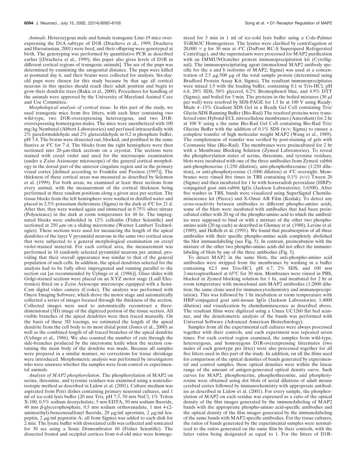*Animals*. Heterozygous male and female transgenic Line-19 mice overexpressing the D1A subtype of D1R (Dracheva et al., 1999; Dracheva and Haroutunian, 2001) were bred, and their offspring were genotyped at birth. The genotyping was performed by quantitative PCR as described earlier [(Dracheva et al., 1999); this paper also gives levels of D1R in different cortical regions of transgenic animals]. The sex of the pups was determined by examining the anogenital distance. The pups were killed at postnatal day 6, and their brains were collected for analysis. Six-dayold pups were chosen for this study because by that age all cortical neurons in this species should reach their adult position and begin to grow their dendritic trees (Rakic et al., 2000). Procedures for handling of the animals were approved by the University of Maryland Animal Care and Use Committee.

*Morphological analysis of cortical tissue*. In this part of the study, we used transgenic mice from five litters, with each litter containing two wild-type, two D1R-overexpressing heterozygous, and two D1Roverexpressing homozygous males. The mice were anesthetized with 100 mg/kg Nembutal (Abbott Laboratories) and perfused intracardially with 2% paraformaldehyde and 2% glutaraldehyde in 0.2 M phosphate buffer, pH 7.4. The brains were dissected out, blocked, and postfixed in the same fixative at 4°C for 7 d. The blocks from the right hemisphere were then sectioned into  $20$ - $\mu$ m-thick sections on a cryostat. The sections were stained with cresyl violet and used for the microscopic examination (under a Zeiss Axioscope microscope) of the general cortical morphology in the dorsal part of the anterior cingulate region and in the primary visual cortex [defined according to Franklin and Paxinos (1997)]. The thickness of these cortical areas was measured as described by Selemon et al. (1999). For both areas, we examined at least three sections from every animal, with the measurement of the cortical thickness being performed at three random positions along a given area per section. The tissue blocks from the left hemisphere were washed in distilled water and placed in 2.5% potassium dichromate (Sigma) in the dark at 4°C for 21 d. After that, they were washed again and immersed in 0.75% silver nitrate (Polyscience) in the dark at room temperature for 48 hr. The impregnated blocks were embedded in 12% celloidin (Fisher Scientific) and sectioned at 250  $\mu$ m on a sliding microtome (Warner Lambert Technologies). These sections were used for measuring the length of the apical dendrites of the layer V pyramidal neurons in the same two cortical areas that were subjected to a general morphological examination on cresyl violet-stained material. For each cortical area, the measurement was performed in 10 randomly selected pyramidal neurons per animal, providing that their overall appearance was similar to that of the general population of such cells. In addition, the apical dendrites selected for the analysis had to be fully silver impregnated and running parallel to the section cut [as recommended by Uylings et al. (1986)]. Glass slides with Golgi-stained sections were placed on an XYZ motor stage (Ludl Electronics) fitted on a Zeiss Axioscope microscope equipped with a Sensi-Cam digital video camera (Cooke). The analysis was performed with Oncor Imaging Software, which drove the motor stage and automatically collected a series of images focused through the thickness of the section. Collected images were used to automatically reconstruct a threedimensional (3D) image of the digitized portion of the tissue section. All visible branches of the apical dendrites were then traced manually. On the basis of these 3D tracings, we estimated the length of the apical dendrite from the cell body to its most distal point (Jones et al., 2000) as well as the combined length of all traced branches of the apical dendrite (Uylings et al., 1986). We also counted the number of cuts through the side-branches produced by the microtome knife when the section containing the main body of the dendrite was made. Because all samples were prepared in a similar manner, no corrections for tissue shrinkage were introduced. Morphometric analysis was performed by investigators who were unaware whether the samples were from control or experimental animals.

*Analysis of MAP2 phosphorylation*. The phosphorylation of MAP2 on serine, threonine, and tyrosine residues was examined using a nonradioisotopic method as described in Lidow et al. (2001). Culture medium was aspirated from Petri dishes containing primary neuronal cultures, and 1 ml of ice-cold lysis buffer (20 mM Tris, pH 7.5, 50 mM NaCl, 1% Triton X-100, 0.5% sodium deoxycholate, 5 mM EDTA, 50 mM sodium fluoride,  $40 \text{ mm } \beta$ -glycerophosphate, 0.5 mm sodium orthovanadate, 1 mm 4-(2aminoethyl)-benzenesulfonyl fluoride, 20  $\mu$ g/ml aprotinin, 2  $\mu$ g/ml leupeptin, 2  $\mu$ g/ml pepstatin A; all from Sigma) was added to each dish for 2 min. The lysate buffer with dissociated cells was collected and sonicated for 30 sec using a Sonic Dismembrator 60 (Fisher Scientific). The dissected frontal and occipital cortices from 6-d-old mice were homogenized for 3 min in 1 ml of ice-cold lysis buffer using a Cole-Palmer TriRS63C Homogenizer. The lysates were clarified by centrifugation at  $20,000 \times g$  for 30 min at 4°C (DuPont RC-S Superspeed Refrigerated Centrifuge), and the supernatants were processed for MAP2 purification with an IMMUNOcatcher protein immunoprecipitation kit (CytoSignal). The immunoprecipitating agent (monoclonal MAP2 antibody specific for the a and b isoforms of MAP2; Sigma) was used at a concentration of 2.5  $\mu$ g/500  $\mu$ g of the total sample protein (determined using Bradford Protein Assay Kit; Sigma). The resultant immunoprecipitates were mixed 1:5 with the loading buffer, containing 0.1 M Tris-HCl, pH 6.8, 20% SDS, 50% glycerol, 0.2% Bromophenol blue, and 4.9% DTT (Sigma), and boiled for 5 min. The proteins in the boiled mixtures (30  $\mu$ l per well) were resolved by SDS-PAGE for 1.5 hr at 100 V using Ready-Made 4–15% Gradient SDS Gel in a Ready Gel Cell containing Tris/ Glycin/SDS Running Buffer (Bio-Rad) The resolved proteins were transferred onto Hybond ECL nitrocellulose membranes (Amersham) for 2 hr at 100 V using a the same Bio-Rad Gel Cell containing Bio-Rad Tris/ Glycine Buffer with the addition of  $0.1\%$  SDS (w/v; Sigma) to ensure a complete transfer of high molecular weight MAP2 (Wang et al., 1989). The completeness of transfer was verified by post-staining of gels with Coomassie blue (Bio-Rad). The membranes were preincubated for 2 hr with a Membrane Blocking Solution (Zymed Laboratories). To reveal the phosphorylation states of serine, threonine, and tyrosine residues, blots were incubated with one of the three antibodies from Zymed: rabbit anti-phosphoserine (1:250 dilution), anti-phosphothreonine (1:250 dilution), or anti-phosphotyrosine (1:1000 dilution) at 4°C overnight. Membranes were rinsed five times in TBS containing  $0.1\%$  (v/v) Tween 20 (Sigma) and then incubated for 1 hr with horseradish peroxidase (HRP) conjugated goat anti-rabbit IgGs (Jackson Laboratories; 1:6500). After five washes in TBS, bands were visualized using SuperSignal Chemiluminescence kit (Pierce) and X-Omat AR Film (Kodak). To detect any cross-reactivity between antibodies to different phospho-amino acids, some of the blots were incubated with antibodies that had been preincubated either with 20 ng of the phospho-amino acid to which the antibodies were supposed to bind or with a mixture of the other two phosphoamino acids (20 ng each) as described in Glenney et al. (1988), Levine et al. (1989), and Heffeth et al. (1991). We found that preabsorption of all three antibodies with their specific phospho-amino acids completely abolished the blot immunolabeling (see Fig. 5). In contrast, preincubation with the mixture of the other two phospho-amino acids did not affect the immunolabeling of blots by any of the three antibodies (Fig. 5).

To detect MAP2 in the same blots, the anti-phospho-amino acid antibodies were stripped from the membranes by washing in a buffer containing 62.5 mM Tris-HCl, pH 6.7, 2% SDS, and 100 mm 2-mercaptoethanol at 65°C for 30 min. Membranes were rinsed in PBS, blocked in Zymed blocking solution for 1 hr, and incubated for 2 hr at room temperature with monoclonal anti-MAP2 antibodies (1:2000 dilution; the same clone used for immunocytochemistry and immunoprecipitation). This was followed by 1 hr incubation at room temperature with HRP-conjugated goat anti-mouse IgGs (Jackson Laboratories; 1:4000 dilution) and visualization by chemiluminescence as described above. The resultant films were digitized using a Umax UC1260 flat bed scanner, and the densitometric analysis of the bands was performed with Universal Software (Advanced American Biotechnology).

Samples from all the experimental cell cultures were always processed together with their controls, and each experiment was repeated seven times. For each cortical region examined, the samples from wild-type, heterozygous, and homozygous D1R-overexpressing littermates (two males of each genotype per litter) were also processed together for all five litters used in this part of the study. In addition, on all the films used for comparison of the optical densities of bands generated by experimental and control samples, these optical densities were within the linear range of the amount of antigen-generated optical density curve. Such curves for MAP2, phosphoserine, phosphothreonine, and phosphotyrosine were obtained using dot blots of serial dilutions of adult mouse cerebral cortex followed by immunochemistry with appropriate antibodies as described in Lidow et al. (2001). For every sample, the phosphorylation of MAP2 on each residue was expressed as a ratio of the optical density of the film images generated by the immunolabeling of MAP2 bands with the appropriate phospho-amino acid-specific antibodies and the optical density of the film images generated by the immunolabeling of the same bands with MAP2-specific antibodies. For the tissue cultures, the ratios of bands generated by the experimental samples were normalized to the ratios generated on the same film by their controls, with the latter ratios being designated as equal to 1. For the litters of D1R-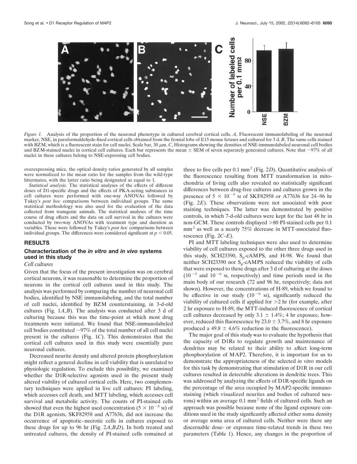

*Figure 1.* Analysis of the proportion of the neuronal phenotype in cultured cerebral cortical cells. *A*, Fluorescent immunolabeling of the neuronal marker, NSE, in paraformaldehyde-fixed cortical cells obtained from the frontal lobe of E15 mouse fetuses and cultured for 3 d. *B*, The same cells stained with BZM, which is a fluorescent stain for cell nuclei. Scale bar, 30  $\mu$ m. *C*, Histograms showing the densities of NSE-immunolabeled neuronal cell bodies and BZM-stained nuclei in cortical cell cultures. Each bar represents the mean  $\pm$  SEM of seven separately generated cultures. Note that  $\sim$ 97% of all nuclei in these cultures belong to NSE-expressing cell bodies.

overexpressing mice, the optical density ratios generated by all samples were normalized to the mean ratio for the samples from the wild-type littermates, with the latter ratio being designated as equal to 1.

*Statistical analysis*. The statistical analyses of the effects of different doses of D1-specific drugs and the effects of PKA-acting substances in cell cultures were performed with one-way ANOVAs followed by Tukey's *post hoc* comparisons between individual groups. The same statistical methodology was also used for the evaluation of the data collected from transgenic animals. The statistical analyses of the time course of drug effects and the data on cell survival in the cultures were conducted by two-way ANOVAs with treatment type and duration as variables. These were followed by Tukey's *post hoc* comparisons between individual groups. The differences were considered significant at  $p < 0.05$ .

#### **RESULTS**

#### **Characterization of the** *in vitro* **and** *in vivo* **systems used in this study**

#### *Cell cultures*

Given that the focus of the present investigation was on cerebral cortical neurons, it was reasonable to determine the proportion of neurons in the cortical cell cultures used in this study. The analysis was performed by comparing the number of neuronal cell bodies, identified by NSE immunolabeling, and the total number of cell nuclei, identified by BZM counterstaining, in 3-d-old cultures (Fig. 1*A*,*B*). The analysis was conducted after 3 d of culturing because this was the time-point at which most drug treatments were initiated. We found that NSE-immunolabeled cell bodies constituted  $\sim$ 97% of the total number of all cell nuclei present in the cultures (Fig. 1*C*). This demonstrates that the cortical cell cultures used in this study were essentially pure neuronal cultures.

Decreased neurite density and altered protein phosphorylation might reflect a general decline in cell viability that is unrelated to physiologic regulation. To exclude this possibility, we examined whether the D1R-selective agonists used in the present study altered viability of cultured cortical cells. Here, two complementary techniques were applied in live cell cultures: PI labeling, which accesses cell death, and MTT labeling, which accesses cell survival and metabolic activity. The counts of PI-stained cells showed that even the highest used concentration  $(5 \times 10^{-5} \text{ m})$  of the D1R agonists, SKF82958 and A77636, did not increase the occurrence of apoptotic–necrotic cells in cultures exposed to these drugs for up to 96 hr (Fig. 2*A*,*B*,*D*). In both treated and untreated cultures, the density of PI-stained cells remained at

three to five cells per  $0.1 \text{ mm}^2$  (Fig. 2*D*). Quantitative analysis of the fluorescence resulting from MTT transformation in mitochondria of living cells also revealed no statistically significant differences between drug-free cultures and cultures grown in the presence of  $5 \times 10^{-5}$  M of SKF82958 or A77636 for 24–96 hr (Fig. 2*E*). These observations were not associated with poor staining techniques. The latter was demonstrated by positive controls, in which 7-d-old cultures were kept for the last 48 hr in non-GCM. These controls displayed  $>80$  PI-stained cells per 0.1 mm<sup>2</sup> as well as a nearly 75% decrease in MTT-associated fluorescence (Fig. 2*C*–*E*).

PI and MTT labeling techniques were also used to determine viability of cell cultures exposed to the other three drugs used in this study, SCH23390,  $S_p$ -cAMPS, and H-98. We found that neither SCH23390 nor  $S_p$ -cAMPS reduced the viability of cells that were exposed to these drugs after 3 d of culturing at the doses  $(10^{-5}$  and  $10^{-6}$  M, respectively) and time periods used in the main body of our research (72 and 96 hr, respectively; data not shown). However, the concentrations of H-89, which we found to be effective in our study  $(10^{-6}$  M), significantly reduced the viability of cultured cells if applied for  $>2$  hr (for example, after 2 hr exposure to H-89, the MTT-induced fluorescence of cortical cell cultures decreased by only  $3.1 \pm 1.4\%$ ; 4 hr exposure, however, reduced this fluorescence by  $23.0 \pm 3.7\%$ , and 8 hr exposure produced a 49.8  $\pm$  4.6% reduction in the fluorescence).

The major goal of this study was to evaluate the hypothesis that the capacity of D1Rs to regulate growth and maintenance of dendrites may be related to their ability to affect long-term phosphorylation of MAP2. Therefore, it is important for us to demonstrate the appropriateness of the selected *in vitro* models for this task by demonstrating that stimulation of D1R in our cell cultures resulted in detectable alterations in dendritic trees. This was addressed by analyzing the effects of D1R-specific ligands on the percentage of the area occupied by MAP2-specific immunostaining (which visualized neurites and bodies of cultured neurons) within an average 0.1 mm<sup>2</sup> fields of cultured cells. Such an approach was possible because none of the ligand exposure conditions used in the study significantly affected either soma density or average soma area of cultured cells. Neither were there any discernable dose- or exposure time-related trends in these two parameters (Table 1). Hence, any changes in the proportion of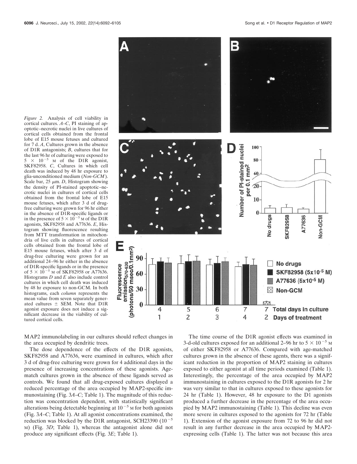*Figure 2.* Analysis of cell viability in cortical cultures. *A*–*C*, PI staining of apoptotic–necrotic nuclei in live cultures of cortical cells obtained from the frontal lobe of E15 mouse fetuses and cultured for 7 d. *A*, Cultures grown in the absence of D1R antagonists; *B*, cultures that for the last 96 hr of culturing were exposed to  $5 \times 10^{-5}$  M of the D1R agonist, SKF82958. *C*, Cultures in which cell death was induced by 48 hr exposure to glia-unconditioned medium (*Non-GCM*). Scale bar,  $25 \mu m$ . *D*, Histogram showing the density of PI-stained apoptotic–necrotic nuclei in cultures of cortical cells obtained from the frontal lobe of E15 mouse fetuses, which after 3 d of drugfree culturing were grown for 96 hr either in the absence of D1R-specific ligands or in the presence of  $5 \times 10^{-5}$  M of the D1R agonists, SKF82958 and A77636. *E*, Histogram showing fluorescence resulting from MTT transformation in mitochondria of live cells in cultures of cortical cells obtained from the frontal lobe of E15 mouse fetuses, which after 3 d of drug-free culturing were grown for an additional 24–96 hr either in the absence of D1R-specific ligands or in the presence of  $5 \times 10^{-5}$  M of SKF82958 or A77636. Histograms *D* and *E* also include control cultures in which cell death was induced by 48 hr exposure to non-GCM. In both histograms, each *column* represents the mean value from seven separately generated cultures  $\pm$  SEM. Note that D1R agonist exposure does not induce a significant decrease in the viability of cultured cortical cells.



MAP2 immunolabeling in our cultures should reflect changes in the area occupied by dendritic trees.

The dose dependence of the effects of the D1R agonists, SKF82958 and A77636, were examined in cultures, which after 3 d of drug-free culturing were grown for 4 additional days in the presence of increasing concentrations of these agonists. Agematch cultures grown in the absence of these ligands served as controls. We found that all drug-exposed cultures displayed a reduced percentage of the area occupied by MAP2-specific immunostaining (Fig. 3*A*–*C*; Table 1). The magnitude of this reduction was concentration dependent, with statistically significant alterations being detectable beginning at  $10^{-5}$  M for both agonists (Fig. 3*A*–*C*; Table 1). At all agonist concentrations examined, the reduction was blocked by the D1R antagonist, SCH23390  $(10^{-5}$ M) (Fig. 3*D*; Table 1), whereas the antagonist alone did not produce any significant effects (Fig. 3*E*; Table 1).

The time course of the D1R agonist effects was examined in 3-d-old cultures exposed for an additional 2–96 hr to  $5 \times 10^{-5}$  M of either SKF82958 or A77636. Compared with age-matched cultures grown in the absence of these agents, there was a significant reduction in the proportion of MAP2 staining in cultures exposed to either agonist at all time periods examined (Table 1). Interestingly, the percentage of the area occupied by MAP2 immunostaining in cultures exposed to the D1R agonists for 2 hr was very similar to that in cultures exposed to these agonists for 24 hr (Table 1). However, 48 hr exposure to the D1 agonists produced a further decrease in the percentage of the area occupied by MAP2 immunostaining (Table 1). This decline was even more severe in cultures exposed to the agonists for 72 hr (Table 1). Extension of the agonist exposure from 72 to 96 hr did not result in any further decrease in the area occupied by MAP2 expressing cells (Table 1). The latter was not because this area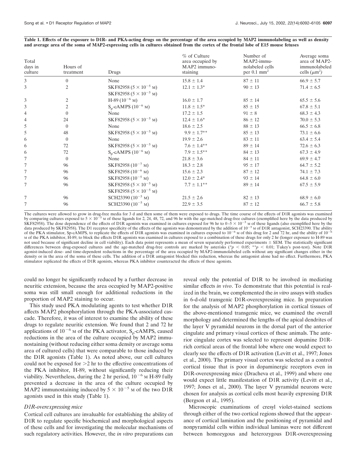| Total<br>days in<br>culture | Hours of<br>treatment | Drugs                                                                       | % of Culture<br>area occupied by<br>MAP2 immuno-<br>staining | Number of<br>MAP2-immu-<br>nolabeled cells<br>per $0.1 \text{ mm}^2$ | Average soma<br>area of MAP2-<br>immunolabeled<br>cells $(\mu m^2)$ |
|-----------------------------|-----------------------|-----------------------------------------------------------------------------|--------------------------------------------------------------|----------------------------------------------------------------------|---------------------------------------------------------------------|
| 3                           | $\mathbf{0}$          | None                                                                        | $15.8 \pm 1.4$                                               | $87 \pm 11$                                                          | $66.9 \pm 5.7$                                                      |
| $\overline{3}$              | $\mathfrak{2}$        | SKF82958 ( $5 \times 10^{-5}$ M)<br>SKF82958 ( $5 \times 10^{-5}$ M)        | $12.1 \pm 1.3^*$                                             | $90 \pm 13$                                                          | $71.4 \pm 6.5$                                                      |
| 3                           | 2                     | $H-89$ (10 <sup>-6</sup> M)                                                 | $16.0 \pm 1.7$                                               | $85 \pm 14$                                                          | $65.5 \pm 5.6$                                                      |
| 3                           | $\mathfrak{2}$        | $S_p$ -cAMPS (10 <sup>-6</sup> M)                                           | $11.8 \pm 1.5^*$                                             | $85 \pm 15$                                                          | $67.8 \pm 5.1$                                                      |
| $\overline{4}$              | $\theta$              | None                                                                        | $17.2 \pm 1.5$                                               | $91 \pm 8$                                                           | $68.3 \pm 4.3$                                                      |
| $\overline{4}$              | 24                    | SKF82958 $(5 \times 10^{-5} \text{ M})$                                     | $12.4 \pm 1.6^*$                                             | $86 \pm 12$                                                          | $70.0 \pm 5.3$                                                      |
| 5                           | $\overline{0}$        | None                                                                        | $18.6 \pm 2.5$                                               | $88 \pm 13$                                                          | $66.5 \pm 6.8$                                                      |
| 5                           | 48                    | SKF82958 $(5 \times 10^{-5} \text{ M})$                                     | $9.9 \pm 1.7$ **                                             | $85 \pm 13$                                                          | $73.1 \pm 6.6$                                                      |
| 6                           | $\bf{0}$              | None                                                                        | $19.9 \pm 2.6$                                               | $83 \pm 11$                                                          | $63.4 \pm 5.4$                                                      |
| 6                           | 72                    | SKF82958 $(5 \times 10^{-5}$ M)                                             | $7.6 \pm 1.4***$                                             | $89 \pm 14$                                                          | $72.6 \pm 6.3$                                                      |
| 6                           | 72                    | $S_p$ -cAMPS (10 <sup>-6</sup> M)                                           | $7.9 \pm 1.5***$                                             | $84 \pm 13$                                                          | $67.3 \pm 4.9$                                                      |
| 7                           | $\overline{0}$        | None                                                                        | $21.8 \pm 3.6$                                               | $84 \pm 11$                                                          | $69.9 \pm 4.7$                                                      |
| $\tau$                      | 96                    | SKF82958 ( $10^{-7}$ M)                                                     | $18.3 \pm 2.8$                                               | $95 \pm 17$                                                          | $64.7 \pm 5.2$                                                      |
| 7                           | 96                    | SKF82958 $(10^{-6}$ M)                                                      | $15.6 \pm 2.3$                                               | $87 \pm 12$                                                          | $74.1 \pm 7.3$                                                      |
| $\tau$                      | 96                    | SKF82958 (10 <sup>-5</sup> M)                                               | $12.0 \pm 2.4^*$                                             | $93 \pm 14$                                                          | $64.8 \pm 6.0$                                                      |
| 7                           | 96                    | SKF82958 $(5 \times 10^{-5} \text{ M})$<br>SKF82958 ( $5 \times 10^{-5}$ M) | $7.7 \pm 1.1***$                                             | $89 \pm 14$                                                          | $67.5 \pm 5.9$                                                      |
| 7                           | 96                    | SCH23390 $(10^{-5}$ M)                                                      | $21.5 \pm 2.6$                                               | $82 \pm 13$                                                          | $68.9 \pm 6.0$                                                      |
| 7                           | 96                    | SCH23390 $(10^{-5}$ M)                                                      | $22.9 \pm 3.5$                                               | $87 \pm 12$                                                          | $66.7 \pm 5.8$                                                      |

#### **Table 1. Effects of the exposure to D1R- and PKA-acting drugs on the percentage of the area occupied by MAP2 immunolabeling as well as density and average area of the soma of MAP2-expressing cells in cultures obtained from the cortex of the frontal lobe of E15 mouse fetuses**

The cultures were allowed to grow in drug-free media for 3 d and then some of them were exposed to drugs. The time course of the effects of D1R agonists was examined<br>by comparing cultures exposed to  $5 \times 10^{-5}$  M of these SKF82958). The dose dependence of the effects of D1R agonists was examined in cultures exposed for 96 hr to  $0-5 \times 10^{-5}$  M of these ligands (also exemplified here by the data produced by SKF82958). The D1 receptor specificity of the effects of the agonists was demonstrated by the addition of  $10^{-5}$  M of D1R antagonist, SCH23390. The ability of the PKA stimulator, Sp-cAMPS, to replicate the effects of D1R agonists was examined in cultures exposed to  $10^{-6}$  M of this drug for 2 and 72 hr, and the ability of  $10^{-6}$ M of the PKA inhibitor, H-89, to block the effects D1R agonists was examined in cultures exposed to a combination of these drugs for only 2 hr (longer exposure to H-89 was not used because of significant decline in cell viability). Each data point represents a mean of seven separately performed experiments  $\pm$  SEM. The statistically significant differences between drug-exposed cultures and the age-matched drug-free controls are marked by asterisks ( $p < 0.05$ ; \*\* $p < 0.01$ ; Tukey's post-test). Note D1R agonist-induced dose- and time-dependent reductions in the percentage of the area occupied by MAP2-immunolabeled cells without any significant changes either in the density or in the area of the soma of these cells. The addition of a D1R antagonist blocked this reduction, whereas the antagonist alone had no effect. Furthermore, PKA stimulator replicated the effects of D1R agonists, whereas PKA inhibitor counteracted the effects of these agonists.

could no longer be significantly reduced by a further decrease in neuritic extension, because the area occupied by MAP2-positive soma was still small enough for additional reductions in the proportion of MAP2 staining to occur.

This study used PKA modulating agents to test whether D1R affects MAP2 phosphorylation through the PKA-associated cascade. Therefore, it was of interest to examine the ability of these drugs to regulate neuritic extension. We found that 2 and 72 hr applications of  $10^{-6}$  M of the PKA activator,  $S_p$ -cAMPS, caused reductions in the area of the culture occupied by MAP2 immunostaining (without reducing either soma density or average soma area of cultured cells) that were comparable to those induced by the D1R agonists (Table 1). As noted above, our cell cultures could not be exposed for  $>2$  hr to the effective concentrations of the PKA inhibitor, H-89, without significantly reducing their viability. Nevertheless, during the 2 hr period,  $10^{-6}$  M H-89 fully prevented a decrease in the area of the culture occupied by MAP2 immunostaining induced by  $5 \times 10^{-5}$  M of the two D1R agonists used in this study (Table 1).

#### *D1R-overexpressing mice*

Cortical cell cultures are invaluable for establishing the ability of D1R to regulate specific biochemical and morphological aspects of these cells and for investigating the molecular mechanisms of such regulatory activities. However, the *in vitro* preparations can

reveal only the potential of D1R to be involved in mediating similar effects *in vivo*. To demonstrate that this potential is realized in the brain, we complemented the *in vitro* assays with studies in 6-d-old transgenic D1R-overexpressing mice. In preparation for the analysis of MAP2 phosphorylation in cortical tissues of the above-mentioned transgenic mice, we examined the overall morphology and determined the lengths of the apical dendrites of the layer V pyramidal neurons in the dorsal part of the anterior cingulate and primary visual cortices of these animals. The anterior cingulate cortex was selected to represent dopamine D1Rrich cortical areas of the frontal lobe where one would expect to clearly see the effects of D1R activation (Levitt et al., 1997; Jones et al., 2000). The primary visual cortex was selected as a control cortical tissue that is poor in dopaminergic receptors even in D1R-overexpressing mice (Dracheva et al., 1999) and where one would expect little manifestation of D1R activity (Levitt et al., 1997; Jones et al., 2000). The layer V pyramidal neurons were chosen for analysis as cortical cells most heavily expressing D1R (Bergson et al., 1995).

Microscopic examinations of cresyl violet-stained sections through either of the two cortical regions showed that the appearance of cortical lamination and the positioning of pyramidal and nonpyramidal cells within individual laminas were not different between homozygous and heterozygous D1R-overexpressing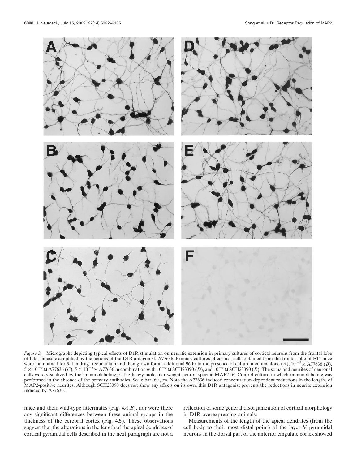

*Figure 3.* Micrographs depicting typical effects of D1R stimulation on neuritic extension in primary cultures of cortical neurons from the frontal lobe of fetal mouse exemplified by the actions of the D1R antagonist, A77636. Primary cultures of cortical cells obtained from the frontal lobe of E15 mice were maintained for 3 d in drug-free medium and then grown for an additional 96 hr in the presence of culture medium alone  $(A)$ ,  $10^{-5}$  M A77636  $(B)$ ,  $5 \times 10^{-5}$  M A77636 (*C*),  $5 \times 10^{-5}$  M A77636 in combination with  $10^{-5}$  M SCH23390 (*D*), and  $10^{-5}$  M SCH23390 (*E*). The soma and neurites of neuronal cells were visualized by the immunolabeling of the heavy molecular weight neuron-specific MAP2. *F*, Control culture in which immunolabeling was performed in the absence of the primary antibodies. Scale bar, 60  $\mu$ m. Note the A77636-induced concentration-dependent reductions in the lengths of MAP2-positive neurites. Although SCH23390 does not show any effects on its own, this D1R antagonist prevents the reductions in neurite extension induced by A77636.

mice and their wild-type littermates (Fig. 4*A*,*B*), nor were there any significant differences between these animal groups in the thickness of the cerebral cortex (Fig. 4*E*). These observations suggest that the alterations in the length of the apical dendrites of cortical pyramidal cells described in the next paragraph are not a reflection of some general disorganization of cortical morphology in D1R-overexpressing animals.

Measurements of the length of the apical dendrites (from the cell body to their most distal point) of the layer V pyramidal neurons in the dorsal part of the anterior cingulate cortex showed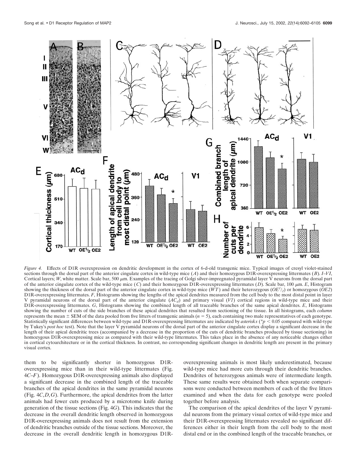

*Figure 4.* Effects of D1R overexpression on dendritic development in the cortex of 6-d-old transgenic mice. Typical images of cresyl violet-stained sections through the dorsal part of the anterior cingulate cortex in wild-type mice (*A*) and their homozygous D1R-overexpressing littermates (*B*). *I*–*VI*, Cortical layers; *W*, white matter. Scale bar, 500  $\mu$ m. Examples of the tracing of Golgi silver-impregnated pyramidal layer V neurons from the dorsal part of the anterior cingulate cortex of the wild-type mice  $(C)$  and their homozygous D1R-overexpressing littermates  $(D)$ . Scale bar, 100  $\mu$ m. *E*, Histogram showing the thickness of the dorsal part of the anterior cingulate cortex in wild-type mice  $(WT)$  and their heterozygous  $(OE<sup>1</sup>/<sub>2</sub>)$  or homozygous  $(OE2)$ D1R-overexpressing littermates. *F*, Histograms showing the lengths of the apical dendrites measured from the cell body to the most distal point in layer V pyramidal neurons of the dorsal part of the anterior cingulate (*ACd*) and primary visual (*V1*) cortical regions in wild-type mice and their D1R-overexpressing littermates. *G*, Histograms showing the combined length of all traceable branches of the same apical dendrites. *E*, Histograms showing the number of cuts of the side branches of these apical dendrites that resulted from sectioning of the tissue. In all histograms, each *column* represents the mean  $\pm$  SEM of the data pooled from five litters of transgenic animals ( $n = 5$ ), each containing two male representatives of each genotype. Statistically significant differences between wild-type and D1R-overexpressing littermates are indicated by *asterisks* (\**p* < 0.05 compared with wild-type by Tukey's *post hoc* test). Note that the layer V pyramidal neurons of the dorsal part of the anterior cingulate cortex display a significant decrease in the length of their apical dendritic trees (accompanied by a decrease in the proportion of the cuts of dendritic branches produced by tissue sectioning) in homozygous D1R-overexpressing mice as compared with their wild-type littermates. This takes place in the absence of any noticeable changes either in cortical cytoarchitecture or in the cortical thickness. In contrast, no corresponding significant changes in dendritic length are present in the primary visual cortex.

them to be significantly shorter in homozygous D1Roverexpressing mice than in their wild-type littermates (Fig. 4*C*–*F*). Homozygous D1R-overexpressing animals also displayed a significant decrease in the combined length of the traceable branches of the apical dendrites in the same pyramidal neurons (Fig. 4*C*,*D*,*G*). Furthermore, the apical dendrites from the latter animals had fewer cuts produced by a microtome knife during generation of the tissue sections (Fig. 4*G*). This indicates that the decrease in the overall dendritic length observed in homozygous D1R-overexpressing animals does not result from the extension of dendritic branches outside of the tissue sections. Moreover, the decrease in the overall dendritic length in homozygous D1R-

overexpressing animals is most likely underestimated, because wild-type mice had more cuts through their dendritic branches. Dendrites of heterozygous animals were of intermediate length. These same results were obtained both when separate comparisons were conducted between members of each of the five litters examined and when the data for each genotype were pooled together before analysis.

The comparison of the apical dendrites of the layer V pyramidal neurons from the primary visual cortex of wild-type mice and their D1R-overexpressing littermates revealed no significant differences either in their length from the cell body to the most distal end or in the combined length of the traceable branches, or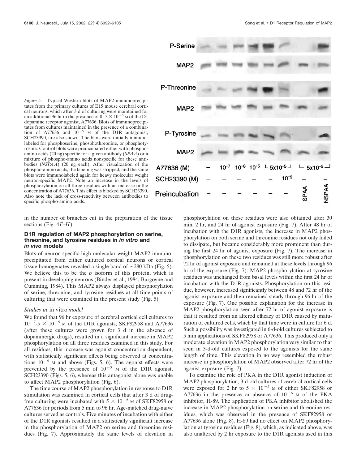

*Figure 5.* Typical Western blots of MAP2 immunoprecipitates from the primary cultures of E15 mouse cerebral cortical neurons, which after 3 d of culturing were maintained for an additional 96 hr in the presence of  $0-5 \times 10^{-5}$  M of the D1 dopamine receptor agonist, A77636. Blots of immunoprecipitates from cultures maintained in the presence of a combination of  $\text{A77636}$  and  $10^{-5}$  M of the D1R antagonist, SCH23390, are also shown. The blots were initially immunolabeled for phosphoserine, phosphothreonine, or phosphotyrosine. Control blots were preincubated either with phosphoamino acids (20 ng) specific for a given antibody (*SPAA*) or a mixture of phospho-amino acids nonspecific for these antibodies (*NSPAA*) (20 ng each). After visualization of the phospho-amino acids, the labeling was stripped, and the same blots were immunolabeled again for heavy molecular weight neuron-specific MAP2. Note an increase in the levels of phosphorylation on all three residues with an increase in the concentration of A77636. This effect is blocked by SCH23390. Also note the lack of cross-reactivity between antibodies to specific phospho-amino acids.

in the number of branches cut in the preparation of the tissue sections (Fig. 4*F*–*H*).

#### **D1R regulation of MAP2 phosphorylation on serine, threonine, and tyrosine residues in** *in vitro* **and** *in vivo* **models**

Blots of neuron-specific high molecular weight MAP2 immunoprecipitated from either cultured cortical neurons or cortical tissue homogenates revealed a single band of  $\sim$ 280 kDa (Fig. 5). We believe this to be the *b* isoform of this protein, which is present in developing neurons (Binder et al., 1984; Burgoyne and Cumming, 1984). This MAP2 always displayed phosphorylation of serine, threonine, and tyrosine residues at all time-points of culturing that were examined in the present study (Fig. 5).

#### *Studies in* in vitro *model*

We found that 96 hr exposure of cerebral cortical cell cultures to  $10^{-7}$ -5 ×  $10^{-5}$  M of the D1R agonists, SKF82958 and A77636 (after these cultures were grown for 3 d in the absence of dopaminergic drugs), resulted in a significant increase in MAP2 phosphorylation on all three residues examined in this study. For all residues, this increase was agonist concentration dependent, with statistically significant effects being observed at concentrations  $10^{-5}$  M and above (Figs. 5, 6). The agonist effects were prevented by the presence of  $10^{-5}$  M of the D1R agonist, SCH23390 (Figs. 5, 6), whereas this antagonist alone was unable to affect MAP2 phosphorylation (Fig. 6).

The time course of MAP2 phosphorylation in response to D1R stimulation was examined in cortical cells that after 3 d of drugfree culturing were incubated with  $5 \times 10^{-5}$  M of SKF82958 or A77636 for periods from 5 min to 96 hr. Age-matched drug-naive cultures served as controls. Five minutes of incubation with either of the D1R agonists resulted in a statistically significant increase in the phosphorylation of MAP2 on serine and threonine residues (Fig. 7). Approximately the same levels of elevation in

phosphorylation on these residues were also obtained after 30 min, 2 hr, and 24 hr of agonist exposure (Fig. 7). After 48 hr of incubation with the D1R agonists, the increase in MAP2 phosphorylation on both serine and threonine residues not only failed to dissipate, but became considerably more prominent than during the first 24 hr of agonist exposure (Fig. 7). The increase in phosphorylation on these two residues was still more robust after 72 hr of agonist exposure and remained at these levels through 96 hr of the exposure (Fig. 7). MAP2 phosphorylation at tyrosine residues was unchanged from basal levels within the first 24 hr of incubation with the D1R agonists. Phosphorylation on this residue, however, increased significantly between 48 and 72 hr of the agonist exposure and then remained steady through 96 hr of the exposure (Fig. 7). One possible explanation for the increase in MAP2 phosphorylation seen after 72 hr of agonist exposure is that it resulted from an altered efficacy of D1R caused by maturation of cultured cells, which by that time were in culture for 6 d. Such a possibility was investigated in 6-d-old cultures subjected to 5 min applications of SKF82958 or A77636. This produced only a moderate elevation in MAP2 phosphorylation very similar to that seen in 3-d-old cultures exposed to the agonists for the same length of time. This elevation in no way resembled the robust increase in phosphorylation of MAP2 observed after 72 hr of the agonist exposure (Fig. 7).

To examine the role of PKA in the D1R agonist induction of MAP2 phosphorylation, 3-d-old cultures of cerebral cortical cells were exposed for 2 hr to  $5 \times 10^{-5}$  M of either SKF82958 or A77636 in the presence or absence of  $10^{-6}$  M of the PKA inhibitor, H-89. The application of PKA inhibitor abolished the increase in MAP2 phosphorylation on serine and threonine residues, which was observed in the presence of SKF82958 or A77636 alone (Fig. 8). H-89 had no effect on MAP2 phosphorylation at tyrosine residues (Fig. 8), which, as indicated above, was also unaltered by 2 hr exposure to the D1R agonists used in this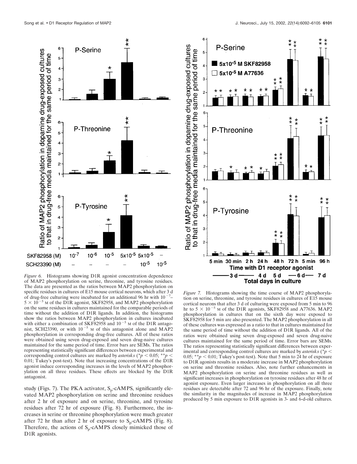

*Figure 6.* Histograms showing D1R agonist concentration dependence of MAP2 phosphorylation on serine, threonine, and tyrosine residues. The data are presented as the ratios between MAP2 phosphorylation on specific residues in cultures of E15 mouse cortical neurons, which after 3 d of drug-free culturing were incubated for an additional 96 hr with  $10^{-7}$ - $5 \times 10^{-5}$  M of the DIR agonist, SKF82958, and MAP2 phosphorylation on the same residues in cultures maintained for the comparable periods of time without the addition of D1R ligands. In addition, the histograms show the ratios between MAP2 phosphorylation in cultures incubated with either a combination of SKF82958 and  $10^{-5}$  M of the D1R antagonist, SCH23390, or with  $10^{-5}$  M of this antagonist alone and MAP2 phosphorylation in corresponding drug-free cultures. All of these ratios were obtained using seven drug-exposed and seven drug-naive cultures maintained for the same period of time. Error bars are SEMs. The ratios representing statistically significant differences between experimental and corresponding control cultures are marked by *asterisks* (\* $p < 0.05$ ; \*\* $p <$ 0.01; Tukey's post-test). Note that increasing concentrations of the D1R agonist induce corresponding increases in the levels of MAP2 phosphorylation on all three residues. These effects are blocked by the D1R antagonist.

study (Figs. 7). The PKA activator,  $S_p$ -cAMPS, significantly elevated MAP2 phosphorylation on serine and threonine residues after 2 hr of exposure and on serine, threonine, and tyrosine residues after 72 hr of exposure (Fig. 8). Furthermore, the increases in serine or threonine phosphorylation were much greater after 72 hr than after 2 hr of exposure to  $S_p$ -cAMPS (Fig. 8). Therefore, the actions of  $S_p$ -cAMPS closely mimicked those of D<sub>1</sub>R agonists.



*Figure 7.* Histograms showing the time course of MAP2 phosphorylation on serine, threonine, and tyrosine residues in cultures of E15 mouse cortical neurons that after 3 d of culturing were exposed from 5 min to 96 hr to  $5 \times 10^{-5}$  M of the D1R agonists, SKF82958 and A77636. MAP2 phosphorylation in cultures that on the sixth day were exposed to SKF82958 for 5 min are also presented. The MAP2 phosphorylation in all of these cultures was expressed as a ratio to that in cultures maintained for the same period of time without the addition of D1R ligands. All of the ratios were obtained using seven drug-exposed and seven drug-naive cultures maintained for the same period of time. Error bars are SEMs. The ratios representing statistically significant differences between experimental and corresponding control cultures are marked by *asterisks* (\**p* 0.05;  $*^*p < 0.01$ ; Tukey's post-test). Note that 5 min to 24 hr of exposure to D1R agonists results in a moderate increase in MAP2 phosphorylation on serine and threonine residues. Also, note further enhancements in MAP2 phosphorylation on serine and threonine residues as well as significant increases in phosphorylation on tyrosine residues after 48 hr of agonist exposure. Even larger increases in phosphorylation on all three residues are detectable after 72 and 96 hr of the exposure. Finally, note the similarity in the magnitudes of increase in MAP2 phosphorylation produced by 5 min exposure to D1R agonists in 3- and 6-d-old cultures.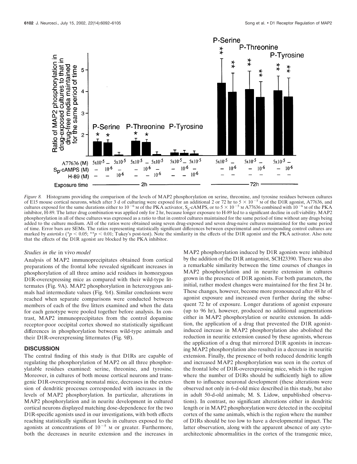

*Figure 8.* Histograms providing the comparison of the levels of MAP2 phosphorylation on serine, threonine, and tyrosine residues between cultures of E15 mouse cortical neurons, which after 3 d of culturing were exposed for an additional 2 or 72 hr to  $5 \times 10^{-5}$  M of the D1R agonist, A77636, and cultures exposed for the same durations either to 10<sup>-6</sup> M of the PKA activator, S<sub>p</sub>-cAMPS, or to 5  $\times$  10<sup>-5</sup> M A77636 combined with 10<sup>-6</sup> M of the PKA inhibitor, H-89. The latter drug combination was applied only for 2 hr, because longer exposure to H-89 led to a significant decline in cell viability. MAP2 phosphorylation in all of these cultures was expressed as a ratio to that in control cultures maintained for the same period of time without any drugs being added to the culture medium. All of the ratios were obtained using seven drug-exposed and seven drug-naive cultures maintained for the same period of time. Error bars are SEMs. The ratios representing statistically significant differences between experimental and corresponding control cultures are marked by *asterisks* (\* $p < 0.05$ ; \*\* $p < 0.01$ ; Tukey's post-test). Note the similarity in the effects of the D1R agonist and the PKA activator. Also note that the effects of the D1R agonist are blocked by the PKA inhibitor.

#### *Studies in the* in vivo *model*

Analysis of MAP2 immunoprecipitates obtained from cortical preparations of the frontal lobe revealed significant increases in phosphorylation of all three amino acid residues in homozygous D1R-overexpressing mice as compared with their wild-type littermates (Fig. 9A). MAP2 phosphorylation in heterozygous animals had intermediate values (Fig. 9*A*). Similar conclusions were reached when separate comparisons were conducted between members of each of the five litters examined and when the data for each genotype were pooled together before analysis. In contrast, MAP2 immunoprecipitates from the control dopamine receptor-poor occipital cortex showed no statistically significant differences in phosphorylation between wild-type animals and their D1R-overexpressing littermates (Fig. 9*B*).

#### **DISCUSSION**

The central finding of this study is that D1Rs are capable of regulating the phosphorylation of MAP2 on all three phosphorylatable residues examined: serine, threonine, and tyrosine. Moreover, in cultures of both mouse cortical neurons and transgenic D1R-overexpressing neonatal mice, decreases in the extension of dendritic processes corresponded with increases in the levels of MAP2 phosphorylation. In particular, alterations in MAP2 phosphorylation and in neurite development in cultured cortical neurons displayed matching dose-dependence for the two D1R-specific agonists used in our investigations, with both effects reaching statistically significant levels in cultures exposed to the agonists at concentrations of  $10^{-5}$  M or greater. Furthermore, both the decreases in neurite extension and the increases in

MAP2 phosphorylation induced by D1R agonists were inhibited by the addition of the D1R antagonist, SCH23390. There was also a remarkable similarity between the time courses of changes in MAP2 phosphorylation and in neurite extension in cultures grown in the presence of D1R agonists. For both parameters, the initial, rather modest changes were maintained for the first 24 hr. These changes, however, become more pronounced after 48 hr of agonist exposure and increased even further during the subsequent 72 hr of exposure. Longer durations of agonist exposure (up to 96 hr), however, produced no additional augmentations either in MAP2 phosphorylation or neurite extension. In addition, the application of a drug that prevented the D1R agonistinduced increase in MAP2 phosphorylation also abolished the reduction in neuritic extension caused by these agonists, whereas the application of a drug that mirrored D1R agonists in increasing MAP2 phosphorylation also resulted in a decrease in neuritic extension. Finally, the presence of both reduced dendritic length and increased MAP2 phosphorylation was seen in the cortex of the frontal lobe of D1R-overexpressing mice, which is the region where the number of D1Rs should be sufficiently high to allow them to influence neuronal development (these alterations were observed not only in 6-d-old mice described in this study, but also in adult 50-d-old animals; M. S. Lidow, unpublished observations). In contrast, no significant alterations either in dendritic length or in MAP2 phosphorylation were detected in the occipital cortex of the same animals, which is the region where the number of D1Rs should be too low to have a developmental impact. The latter observation, along with the apparent absence of any cytoarchitectonic abnormalities in the cortex of the transgenic mice,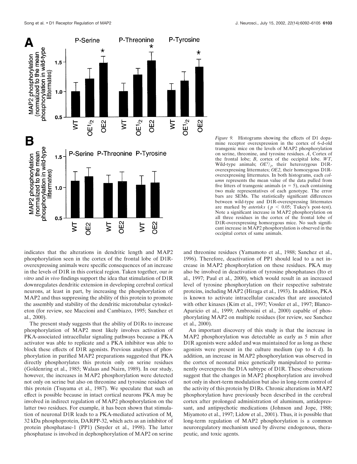

indicates that the alterations in dendritic length and MAP2 phosphorylation seen in the cortex of the frontal lobe of D1Roverexpressing animals were specific consequences of an increase in the levels of D1R in this cortical region. Taken together, our *in vitro* and *in vivo* findings support the idea that stimulation of D1R downregulates dendritic extension in developing cerebral cortical neurons, at least in part, by increasing the phosphorylation of MAP2 and thus suppressing the ability of this protein to promote the assembly and stability of the dendritic microtubular cytoskeleton (for review, see Maccioni and Cambiazo, 1995; Sanchez et al., 2000).

The present study suggests that the ability of D1Rs to increase phosphorylation of MAP2 most likely involves activation of PKA-associated intracellular signaling pathways because a PKA activator was able to replicate and a PKA inhibitor was able to block these effects of D1R agonists. Previous analyses of phosphorylation in purified MAP2 preparations suggested that PKA directly phosphorylates this protein only on serine residues (Goldenring et al., 1985; Walaas and Nairn, 1989). In our study, however, the increases in MAP2 phosphorylation were detected not only on serine but also on threonine and tyrosine residues of this protein (Tsuyama et al., 1987). We speculate that such an effect is possible because in intact cortical neurons PKA may be involved in indirect regulation of MAP2 phosphorylation on the latter two residues. For example, it has been shown that stimulation of neuronal D1R leads to a PKA-mediated activation of  $M_r$ 32 kDa phosphoprotein, DARPP-32, which acts as an inhibitor of protein phosphatase-1 (PP1) (Snyder et al., 1998). The latter phosphatase is involved in dephosphorylation of MAP2 on serine

*Figure 9.* Histograms showing the effects of D1 dopamine receptor overexpression in the cortex of 6-d-old transgenic mice on the levels of MAP2 phosphorylation on serine, threonine, and tyrosine residues. *A*, Cortex of the frontal lobe; *B*, cortex of the occipital lobe. *WT*, Wild-type animals;  $OE<sup>1</sup>/2$ , their heterozygous D1Roverexpressing littermates; *OE2*, their homozygous D1Roverexpressing littermates. In both histograms, each *column* represents the mean value of the data pulled from five litters of transgenic animals  $(n = 5)$ , each containing two male representatives of each genotype. The error bars are SEMs. The statistically significant differences between wild-type and D1R-overexpressing littermates are marked by *asterisks* ( $p < 0.05$ ; Tukey's post-test). Note a significant increase in MAP2 phosphorylation on all three residues in the cortex of the frontal lobe of D1R-overexpressing homozygous mice. No such significant increase in MAP2 phosphorylation is observed in the occipital cortex of same animals.

and threonine residues (Yamamoto et al., 1988; Sanchez et al., 1996). Therefore, deactivation of PP1 should lead to a net increase in MAP2 phosphorylation on these residues. PKA may also be involved in deactivation of tyrosine phosphatases (Ito et al., 1997; Paul et al., 2000), which would result in an increased level of tyrosine phosphorylation on their respective substrate proteins, including MAP2 (Hiraga et al., 1993). In addition, PKA is known to activate intracellular cascades that are associated with other kinases (Kim et al., 1997; Vossler et al., 1997; Blanco-Aparicio et al., 1999; Ambrosini et al., 2000) capable of phosphorylating MAP2 on multiple residues (for review, see Sanchez et al., 2000).

An important discovery of this study is that the increase in MAP2 phosphorylation was detectable as early as 5 min after D1R agonists were added and was maintained for as long as these agonists were present in the culture medium (up to 4 d). In addition, an increase in MAP2 phosphorylation was observed in the cortex of neonatal mice genetically manipulated to permanently overexpress the D1A subtype of D1R. These observations suggest that the changes in MAP2 phosphorylation are involved not only in short-term modulation but also in long-term control of the activity of this protein by D1Rs. Chronic alterations in MAP2 phosphorylation have previously been described in the cerebral cortex after prolonged administration of aluminum, antidepressant, and antipsychotic medications (Johnson and Jope, 1988; Miyamoto et al., 1997; Lidow et al., 2001). Thus, it is possible that long-term regulation of MAP2 phosphorylation is a common neuroregulatory mechanism used by diverse endogenous, therapeutic, and toxic agents.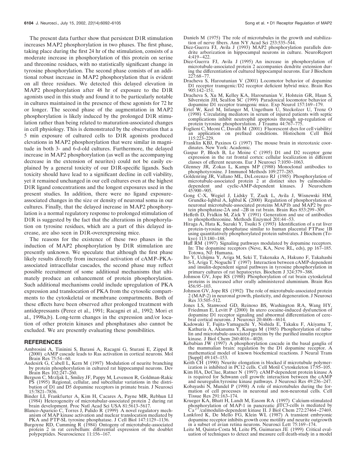The present data further show that persistent D1R stimulation increases MAP2 phosphorylation in two phases. The first phase, taking place during the first 24 hr of the stimulation, consists of a moderate increase in phosphorylation of this protein on serine and threonine residues, with no statistically significant change in tyrosine phosphorylation. The second phase consists of an additional robust increase in MAP2 phosphorylation that is evident on all three residues. We detected this delayed elevation in MAP2 phosphorylation after 48 hr of exposure to the D1R agonists used in this study and found it to be particularly notable in cultures maintained in the presence of these agonists for 72 hr or longer. The second phase of the augmentation in MAP2 phosphorylation is likely induced by the prolonged D1R stimulation rather than being related to maturation-associated changes in cell physiology. This is demonstrated by the observation that a 5 min exposure of cultured cells to D1R agonists produced elevations in MAP2 phosphorylation that were similar in magnitude in both 3- and 6-d-old cultures. Furthermore, the delayed increase in MAP2 phosphorylation (as well as the accompanying decrease in the extension of neurites) could not be easily explained by a general toxicity of our D1R-specific ligands. Such toxicity should have lead to a significant decline in cell viability, yet it remained unchanged in our cell cultures even at the highest D1R ligand concentrations and the longest exposures used in the present studies. In addition, there were no ligand exposureassociated changes in the size or density of neuronal soma in our cultures. Finally, that the delayed increase in MAP2 phosphorylation is a normal regulatory response to prolonged stimulation of D1R is suggested by the fact that the alterations in phosphorylation on tyrosine residues, which are a part of this delayed increase, are also seen in D1R-overexpressing mice.

The reasons for the existence of these two phases in the induction of MAP2 phosphorylation by D1R stimulation are presently unknown. We speculate that although the first phase likely results directly from increased activation of cAMP–PKAassociated intracellular cascades, the second phase may reflect possible recruitment of some additional mechanisms that ultimately produce an enhancement of protein phosphorylation. Such additional mechanisms could include upregulation of PKA expression and translocation of PKA from the cytosolic compartments to the cytoskeletal or membrane compartments. Both of these effects have been observed after prolonged treatment with antidepressants (Perez et al., 1991; Racagni et al., 1992; Mori et al., 1998a,b). Long-term changes in the expression and/or location of other protein kinases and phosphatases also cannot be excluded. We are presently evaluating these possibilities.

#### **REFERENCES**

- Ambrosini A, Tininini S, Barassi A, Racagni G, Sturani E, Zippel R (2000) cAMP cascade leads to Ras activation in cortical neurons. Mol Brain Res 75:54–60.
- Audesirk G, Cabell L, Kern M (1997) Modulation of neurite branching by protein phosphorylation in cultured rat hippocampal neurons. Dev Brain Res 102:247–260.
- Bergson C, Mrzljak L, Smiley JF, Pappy M, Levenson R, Goldman-Rakic PS (1995) Regional, cellular, and subcellular variations in the distribution of D1 and D5 dopamine receptors in primate brain. J Neurosci 15:7821–7836.
- Binder LI, Frankfurter A, Kim H, Cacares A, Payne MR, Rebhun LI (1984) Heterogeneity of microtubular-associated protein 2 during rat brain development. Proc Natl Acad Sci USA 81:5613–5617.
- Blanco-Aparicio C, Torres J, Pulido R (1999) A novel regulatory mechanism of MAP kinase activation and nuclear translocation mediated by PKA and PTP-SL tyrosine phosphatase. J Cell Biol 147:1129–1136.
- Burgoyne RD, Cumming R (1984) Ontogeny of microtubule-associated protein 2 in rat cerebellum: differential expression of the doublet polypeptides. Neuroscience 11:156–167.
- Daniels M (1975) The role of microtubules in the growth and stabilization of nerve fibers. Ann NY Acad Sci 253:535–544.
- Diez-Guerra FJ, Avila J (1993) MAP2 phosphorylation parallels dendrite arborization in hippocampal neurons in culture. NeuroReport 4:419–422.
- Diez-Guerra FJ, Avila J (1995) An increase in phosphorylation of microtubule-associated protein 2 accompanies dendrite extension during the differentiation of cultured hippocampal neurons. Eur J Biochem 227:68–77.
- Dracheva S, Haroutunian V (2001) Locomotor behavior of dopamine D1 receptor transgenic/D2 receptor deficient hybrid mice. Brain Res 905:142–151.
- Dracheva S, Xu M, Kelley KA, Haroutunian V, Holstein GR, Haun S, Silverstein JH, Sealfon SC (1999) Paradoxical locomotor behavior of dopamine D1 receptor transgenic mice. Exp Neurol 157:169–179.
- Ertel W, Keel M, Infanger M, Ungethum U, Steckolzer U, Trenz O (1998) Circulating mediators in serum of injured patients with septic complications inhibit neutrophil apoptosis through up-regulation of protein tyrosine phosphorylation. J Trauma 44:767–775.
- Foglieni C, Meoni C, Davalli M (2001) Fluorescent dyes for cell viability: an application on prefixed conditions. Histochem Cell Biol 115:223–229.
- Franklin KBJ, Paxinos G (1997) The mouse brain in stereotaxic coordinates. New York: Academic.
- Gaspar P, Bloch B, Le Moine C (1995) D1 and D2 receptor gene expression in the rat frontal cortex: cellular localization in different classes of efferent neurons. Eur J Neurosci 7:1050–1063.
- Glenney JR, Zokas L, Kamps MP (1988) Monoclonal antibodies to phosphotyrosine. J Immunol Methods 109:277–285.
- Goldenring JR, Vallano ML, DeLorenzo RJ (1985) Phosphorylation of microtubule-associated protein 2 at distinct sites by calmodulindependent and cyclic-AMP-dependent kinases. J Neurochem 45:900–905.
- Gong C-X, Wegiel J, Lidsky T, Zuck L, Avila J, Wisnewski HM, Grundke-Iqhbal A, Iqhbal K (2000) Regulation of phosphorylation of neuronal microtubule-associated proteins MAP1b and MAP2 by protein phosphatase-2A and –2B in rat brain. Brain Res 853:299–309.
- Heffeth D, Fridkin M, Zick Y (1991) Generation and use of antibodies to phosphothreonine. Methods Enzymol 201:44–53.
- Hiraga A, Hata K, Suzuki Y, Tsuiki S (1993) Identification of a rat liver protein-tyrosine phosphatase similar to human placental PTPase 1B using quantitatively phosphorylated protein substrates. J Biochem (Tokyo) 113:180–188.
- Huff RM (1997) Signaling pathways modulated by dopamine receptors. In: The dopamine receptors (Neve, KA, Neve RL, eds), pp 167–185. Totowa, NJ: Humana.
- Ito Y, Uchijma Y, Ariga M, Seki T, Takenaka A, Hakuno F, Takahashi S-I, Ariga T, Noguchi T (1997) Interaction between cAMP-dependent and insulin-dependent signal pathways in tyrosine phosphorylation in primary cultures of rat hepatocytes. Biochem J 324:379–388.
- Johnson GV, Jope RS (1988) Phosphorylation of rat brain cytoskeletal proteins is increased after orally administered aluminium. Brain Res 456:95–103.
- Johnson GV, Jope RS (1992) The role of microtubule-associated protein 2 (MAP-2) in neuronal growth, plasticity, and degeneration. J Neurosci Res 33:505–512.
- Jones LS, Stanwood GD, Reinoso BS, Washington RA, Wang HY, Friedman E, Levitt P (2000) In utero cocaine-induced dysfunction of dopamine D1 receptor signaling and abnormal differentiation of cerebral cortical neurons. J Neurosci 20:4606–4614.
- Kadowaki T, Fujita-Yamaguchi Y, Nishida E, Takaku F, Akiyama T, Kathuria A, Akanuma Y, Kasuga M (1985) Phosphorylation of tubulin and microtubule-associated proteins by the purified insulin receptor kinase. J Biol Chem 260:4016–4020.
- Kebabian JW (1997) A phosphorylation cascade in the basal ganglia of the mammalian brain: regulation by the D1 dopamine receptor. A mathematical model of known biochemical reactions. J Neural Trans [Suppl] 49:145–153.
- Keith CH (1990) Neurite elongation is blocked if microtubule polymerization is inhibited in PC12 cells. Cell Motil Cytoskeleton 17:95–105.
- Kim HA, DeClue, Ratner N (1997) cAMP-dependent protein kinase A is required for Schwann cell growth: interaction between the cAMP and neuregulin/tyrosine kinase pathways. J Neurosci Res 49:236–247.
- Kobayashi N, Mundel P (1998) A role of microtubules during the formation of cell processes in neuronal and non-neuronal cells. Cell Tissue Res 291:163–174.
- Krueger KA, Bhatt H, Landt M, Easom RA (1997) Calcium-stimulated phosphorylation of MAP-1 in pancreatic  $\beta$ TC3-cells is mediated by Ca<sup>2+</sup>/calmodulin-dependent kinase II. J Biol Chem 272:27464–27469.
- Lankford K, De Mello FG, Klein WL (1987) A transient embryonic dopamine receptor inhibits growth cone motility and neurite outgrowth in a subset of avian retina neurons. Neurosci Lett 75:169–174.
- Leite M, Quinta-Costa M, Leite PS, Guimaraes JE (1999) Critical evaluation of techniques to detect and measure cell death-study in a model